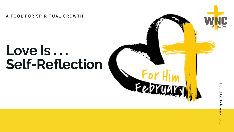$A$  **TOOL FOR SPIRITUAL GROWTH** 

# LOVE **<sup>e</sup> Is . . . Self-Refle c tio n**

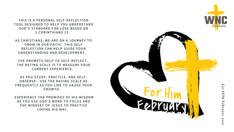THIS IS A PERSONAL SELF-REFLECTION TOOL DESIGNED TO HELP YOU UNDERSTAND GOD'S STANDARD FOR LOVE BASED ON 1 CORINTHIANS 13.

**AS CHRISTIANS, WE ARE ON A J O U R N E Y T O** GROW IN OUR FAITH. THIS SELF REFLECTION CAN HELP GUIDE YOUR UNDERSTANDING AND DEVELOPMENT.

**THE PROMPTS HELP TO SELF-REFLECT. THE RATING SCALE IS TO MEASURE YOU R C U R R E N T E X P E RIE N C E.**

**AS YOU STUDY, PRACTICE, AN D S E L F -** OBSERVE - USE THE RATING SCALE AS FREQUENTLY AS YOU LIKE TO GAUGE YOUR **G R O W T H.**

EXPERIENCE THE PROMISES OF HIS WISDOM AS YOU USE GOD'S WORD TO FOCUS AND THE MINDSET OF JESUS TO PRACTICE LOVING HIS WA'

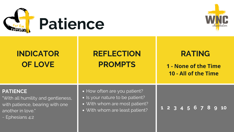

# **REFLECTION RATING**

## **PROMPTS 1 - None of the Time 10 - All of the Time**

### **PATIENCE**

"With all humility and gentleness, with patience, bearing with one another in love."

~ Ephesians 4:2

- How often are you patient?
- Is your nature to be patient?
- With whom are most patient?
- With whom are least patient?



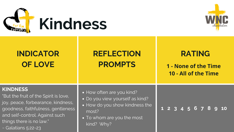

# **REFLECTION RATING**

## **PROMPTS 1 - None of the Time 10 - All of the Time**



### **KINDNESS**

"But the fruit of the Spirit is love, joy, peace, forbearance, kindness, goodness, faithfulness, gentleness and self-control. Against such things there is no law."

- How often are you kind?
- · Do you view yourself as kind?
- How do you show kindness the most?
- To whom are you the most kind? Why?



~ Galatians 5:22-23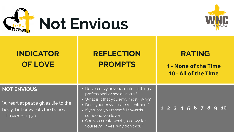

"A heart at peace gives life to the body, but envy rots the bones . . . ~ Proverbs 14:30

### **NOT ENVIOUS**



- Do you envy anyone, material things, professional or social status?
- What is it that you envy most? Why?
- Does your envy create resentment?
- If yes, are you resentful towards someone you love?
- Can you create what you envy for yourself? If yes, why don't you?

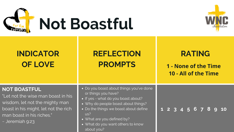

## **REFLECTION PROMPTS**

### **NOT BOASTFUL**

"Let not the wise man boast in his wisdom, let not the mighty man boast in his might, let not the rich man boast in his riches."

- Do you boast about things you've do or things you have?
- If yes what do you boast about?
- Why do people boast about things?
- Do the things we boast about define us?
- What are you defined by?
- What do you want others to know about you?



~ Jeremiah 9:23

|    | <b>RATING</b><br>1 - None of the Time<br>10 - All of the Time |  |  |  |  |  |  |  |                   |           |  |  |
|----|---------------------------------------------------------------|--|--|--|--|--|--|--|-------------------|-----------|--|--|
| ne |                                                               |  |  |  |  |  |  |  | 1 2 3 4 5 6 7 8 9 | <b>10</b> |  |  |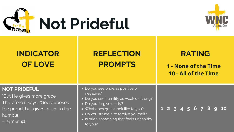

# **REFLECTION RATING**

## **PROMPTS 1 - None of the Time 10 - All of the Time**

### **NOT PRIDEFUL**

"But He gives more grace. Therefore it says, "God opposes the proud, but gives grace to the humble.

 $\sim$  James 4:6

- Do you see pride as positive or negative?
- Do you see humility as weak or strong?
- Do you forgive easily?
- What does grace look like to you?
- Do you struggle to forgive yourself?
- Is pride something that feels unhealthy to you?

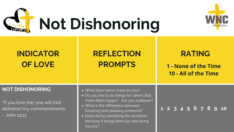

### **NOT DISHONORING**

"If you love me, you will [not dishonor] my commandments. ~ John 14:15

- What does honor mean to you?
- Do you like to do things for others that make them happy? Are you a pleaser?
- What is the difference between honoring and pleasing someone?
- Does doing something for someone because it brings them joy also bring you joy?

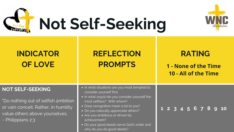

#### **NOT SELF-SEEKING**

"Do nothing out of selfish ambition or vain conceit. Rather, in humility value others above yourselves, ~ Philippians 2:3

- In what situations are you most tempted to consider yourself first.
- In what way(s) do you consider yourself the most selfless? With whom?
- Does recognition mean a lot to you?
- Do you naturally appreciate others?
- Are you ambitious or driven by achievement?
- Do your good deeds serve God's order and why do you do good deeds?

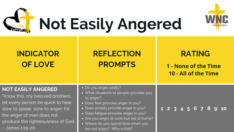

#### **NOT EASILY ANGERED**

"Know this, my beloved brothers: let every person be quick to hear, slow to speak, slow to anger; for the anger of man does not produce the righteousness of God. ~ James 1:19-20

- Do you anger easily?
- **.** What situations or people provoke you to anger?
- Does fear provoke anger in you?
- Does anxiety provide anger in you?
- Does fatigue provoke anger in you?
- Are you angry at work but not at home?
- Where do you spend time when you are not angry? Why is that?

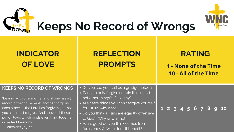

#### **KEEPS NO RECORD OF WRONGS**

"bearing with one another and, if one has a [ record of wrong I against another, forgiving each other; as the Lord has forgiven you, so you also must forgive. And above all these put on love, which binds everything together in perfect harmony.

- $\overline{\bullet}$  Do you see yourself as a grudge holder?
- Can you only forgive certain things and not other things? If so, why?
- Are there things you can't forgive yourself for? If so, why not?
- Do you think all sins are eqaully offensive to God? Why or why not?
- What good do you think comes from forgiveness? Who does it benefit?





~ Collosians 3:13-14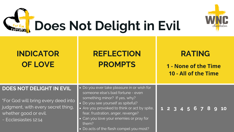

## **REFLECTION PROMPTS**

- "For God will bring every deed into judgment, with every secret thing, whether good or evil.
- ~ Ecclesiastes 12:14

### **DOES NOT DELIGHT IN EVIL**

- Do you ever take pleasure in or wish someone else's bad fortune - even something minor? If yes, why?
- Do you see yourself as spiteful?
- Are you provoked to think or act by s fear, frustration, anger, revenge?
- Can you love your enemies or pray for them?
- Do acts of the flesh compel you most?



|       | <b>RATING</b>                                |                   |  |  |  |  |  |  |  |    |  |  |
|-------|----------------------------------------------|-------------------|--|--|--|--|--|--|--|----|--|--|
|       | 1 - None of the Time<br>10 - All of the Time |                   |  |  |  |  |  |  |  |    |  |  |
| for   |                                              |                   |  |  |  |  |  |  |  |    |  |  |
| pite, |                                              | 1 2 3 4 5 6 7 8 9 |  |  |  |  |  |  |  | 10 |  |  |
|       |                                              |                   |  |  |  |  |  |  |  |    |  |  |
|       |                                              |                   |  |  |  |  |  |  |  |    |  |  |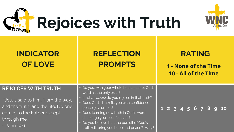

### **REJOICES WITH TRUTH**

"Jesus said to him, "I am the way, and the truth, and the life. No one comes to the Father except through me.

 $\sim$  John 14:6

- Do you, with your whole heart, accept God's word as the only truth?
- In what way(s) do you rejoice in that truth?
- Does God's truth fill you with confidence, peace, joy, or rest?
- Does learning new truth in God's word challenge you - conflict you?
- Do you believe that the pursuit of God's truth will bring you hope and peace? Why?



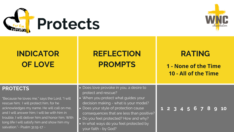

# **REFLECTION RATING**

## **PROMPTS 1 - None of the Time 10 - All of the Time**

### **PROTECTS**

"Because he loves me," says the Lord, "I will rescue him; I will protect him, for he acknowledges my name. He will call on me, and I will answer him; I will be with him in trouble, I will deliver him and honor him. With long life I will satisfy him and show him my salvation."~ Psalm 31:15-17 ~

- Does love provoke in you, a desire to protect and rescue?
- When you protect what guides your decision making - what is your model?
- Does your style of protection cause consequences that are less than positive?
- Do you feel protected? How and why?
- In what ways do you feel protected by your faith - by God?

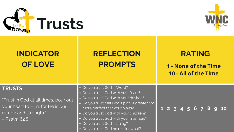

# **REFLECTION RATING**

## **PROMPTS 1 - None of the Time 10 - All of the Time**

### **TRUSTS**

- "Trust in God at all times, pour out your heart to Him, for He is our refuge and strength."
- ~ Psalm 62:8
- Do you trust God 's Word?
- Do you trust God with your fears?
- Do you trust God with your desires?
- Do you trust that God's plan is greater and more perfect that your plans?
- Do you trust God with your children?
- Do you trust God with your marriage?
- Do you trust God's timing?
- Do you trust God no matter what?

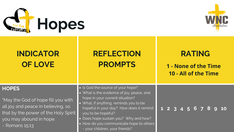

### **HOPES**

- "May the God of hope fill you with all joy and peace in believing, so that by the power of the Holy Spirit you may abound in hope.
- ~ Romans 15:13
- Is God the source of your hope?
- What is the evidence of joy, peace, and hope in your current situation?
- What, if anything, reminds you to be hopeful in your day? How does it remind you to be hopeful?
- Does hope sustain you? Why and how?
- How do you communicate hope to others  $\bullet$ 
	- your children, your friends?

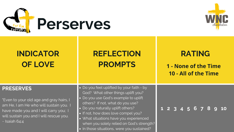

# **REFLECTION RATING**

"Even to your old age and gray hairs, I am He, I am He who will sustain you. I have made you and I will carry you; I will sustain you and I will rescue you.  $\sim$  Isaiah 64:4

## **PROMPTS 1 - None of the Time 10 - All of the Time**

### **PRESERVES**

- Do you feel uplifted by your faith by God? What other things uplift you?
- Do you use God's example to uplift others? If not, what do you use?
- Do you naturally uplift others?
- If not, how does love compel you?
- What situations have you experienced when you solely relied on God's strength?
- In those situations, were you sustained?